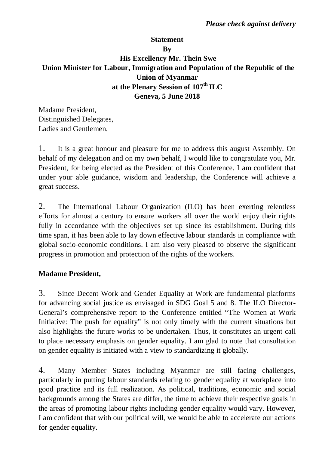# **Statement By His Excellency Mr. Thein Swe Union Minister for Labour, Immigration and Population of the Republic of the Union of Myanmar at the Plenary Session of 107th ILC Geneva, 5 June 2018**

Madame President, Distinguished Delegates, Ladies and Gentlemen,

1. It is a great honour and pleasure for me to address this august Assembly. On behalf of my delegation and on my own behalf, I would like to congratulate you, Mr. President, for being elected as the President of this Conference. I am confident that under your able guidance, wisdom and leadership, the Conference will achieve a great success.

2. The International Labour Organization (ILO) has been exerting relentless efforts for almost a century to ensure workers all over the world enjoy their rights fully in accordance with the objectives set up since its establishment. During this time span, it has been able to lay down effective labour standards in compliance with global socio-economic conditions. I am also very pleased to observe the significant progress in promotion and protection of the rights of the workers.

### **Madame President,**

3. Since Decent Work and Gender Equality at Work are fundamental platforms for advancing social justice as envisaged in SDG Goal 5 and 8. The ILO Director-General's comprehensive report to the Conference entitled "The Women at Work Initiative: The push for equality" is not only timely with the current situations but also highlights the future works to be undertaken. Thus, it constitutes an urgent call to place necessary emphasis on gender equality. I am glad to note that consultation on gender equality is initiated with a view to standardizing it globally.

4. Many Member States including Myanmar are still facing challenges, particularly in putting labour standards relating to gender equality at workplace into good practice and its full realization. As political, traditions, economic and social backgrounds among the States are differ, the time to achieve their respective goals in the areas of promoting labour rights including gender equality would vary. However, I am confident that with our political will, we would be able to accelerate our actions for gender equality.